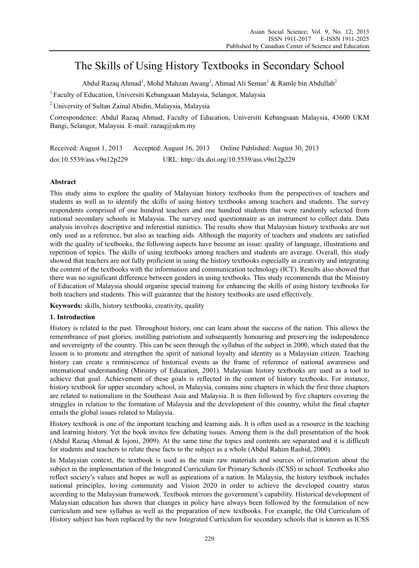# The Skills of Using History Textbooks in Secondary School

Abdul Razaq Ahmad<sup>1</sup>, Mohd Mahzan Awang<sup>1</sup>, Ahmad Ali Seman<sup>1</sup> & Ramle bin Abdullah<sup>2</sup>

<sup>1</sup> Faculty of Education, Universiti Kebangsaan Malaysia, Selangor, Malaysia

2 University of Sultan Zainal Abidin, Malaysia, Malaysia

Correspondence: Abdul Razaq Ahmad, Faculty of Education, Universiti Kebangsaan Malaysia, 43600 UKM Bangi, Selangor, Malaysia. E-mail: razaq@ukm.my

Received: August 1, 2013 Accepted: August 16, 2013 Online Published: August 30, 2013 doi:10.5539/ass.v9n12p229 URL: http://dx.doi.org/10.5539/ass.v9n12p229

# **Abstract**

This study aims to explore the quality of Malaysian history textbooks from the perspectives of teachers and students as well as to identify the skills of using history textbooks among teachers and students. The survey respondents comprised of one hundred teachers and one hundred students that were randomly selected from national secondary schools in Malaysia. The survey used questionnaire as an instrument to collect data. Data analysis involves descriptive and inferential statistics. The results show that Malaysian history textbooks are not only used as a reference, but also as teaching aids. Although the majority of teachers and students are satisfied with the quality of textbooks, the following aspects have become an issue: quality of language, illustrations and repetition of topics. The skills of using textbooks among teachers and students are average. Overall, this study showed that teachers are not fully proficient in using the history textbooks especially in creativity and integrating the content of the textbooks with the information and communication technology (ICT). Results also showed that there was no significant difference between genders in using textbooks. This study recommends that the Ministry of Education of Malaysia should organise special training for enhancing the skills of using history textbooks for both teachers and students. This will guarantee that the history textbooks are used effectively.

**Keywords:** skills, history textbooks, creativity, quality

# **1. Introduction**

History is related to the past. Throughout history, one can learn about the success of the nation. This allows the remembrance of past glories, instilling patriotism and subsequently honouring and preserving the independence and sovereignty of the country. This can be seen through the syllabus of the subject in 2000, which stated that the lesson is to promote and strengthen the spirit of national loyalty and identity as a Malaysian citizen. Teaching history can create a reminiscence of historical events as the frame of reference of national awareness and international understanding (Ministry of Education, 2001). Malaysian history textbooks are used as a tool to achieve that goal. Achievement of these goals is reflected in the content of history textbooks. For instance, history textbook for upper secondary school, in Malaysia, contains nine chapters in which the first three chapters are related to nationalism in the Southeast Asia and Malaysia. It is then followed by five chapters covering the struggles in relation to the formation of Malaysia and the development of this country, whilst the final chapter entails the global issues related to Malaysia.

History textbook is one of the important teaching and learning aids. It is often used as a resource in the teaching and learning history. Yet the book invites few debating issues. Among them is the dull presentation of the book (Abdul Razaq Ahmad & Isjoni, 2009). At the same time the topics and contents are separated and it is difficult for students and teachers to relate these facts to the subject as a whole (Abdul Rahim Rashid, 2000).

In Malaysian context, the textbook is used as the main raw materials and sources of information about the subject in the implementation of the Integrated Curriculum for Primary Schools (ICSS) in school. Textbooks also reflect society's values and hopes as well as aspirations of a nation. In Malaysia, the history textbook includes national principles, loving community and Vision 2020 in order to achieve the developed country status according to the Malaysian framework. Textbook mirrors the government's capability. Historical development of Malaysian education has shown that changes in policy have always been followed by the formulation of new curriculum and new syllabus as well as the preparation of new textbooks. For example, the Old Curriculum of History subject has been replaced by the new Integrated Curriculum for secondary schools that is known as ICSS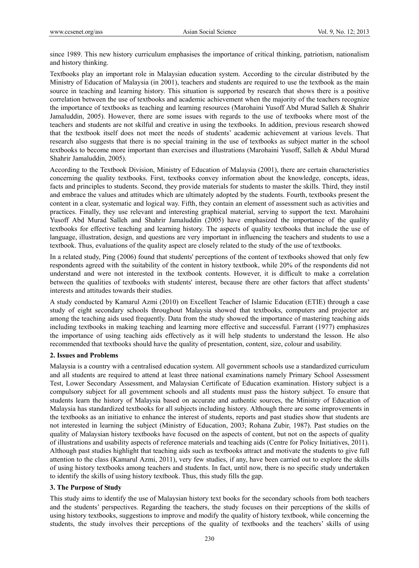since 1989. This new history curriculum emphasises the importance of critical thinking, patriotism, nationalism and history thinking.

Textbooks play an important role in Malaysian education system. According to the circular distributed by the Ministry of Education of Malaysia (in 2001), teachers and students are required to use the textbook as the main source in teaching and learning history. This situation is supported by research that shows there is a positive correlation between the use of textbooks and academic achievement when the majority of the teachers recognize the importance of textbooks as teaching and learning resources (Marohaini Yusoff Abd Murad Salleh & Shahrir Jamaluddin, 2005). However, there are some issues with regards to the use of textbooks where most of the teachers and students are not skilful and creative in using the textbooks. In addition, previous research showed that the textbook itself does not meet the needs of students' academic achievement at various levels. That research also suggests that there is no special training in the use of textbooks as subject matter in the school textbooks to become more important than exercises and illustrations (Marohaini Yusoff, Salleh & Abdul Murad Shahrir Jamaluddin, 2005).

According to the Textbook Division, Ministry of Education of Malaysia (2001), there are certain characteristics concerning the quality textbooks. First, textbooks convey information about the knowledge, concepts, ideas, facts and principles to students. Second, they provide materials for students to master the skills. Third, they instil and embrace the values and attitudes which are ultimately adopted by the students. Fourth, textbooks present the content in a clear, systematic and logical way. Fifth, they contain an element of assessment such as activities and practices. Finally, they use relevant and interesting graphical material, serving to support the text. Marohaini Yusoff Abd Murad Salleh and Shahrir Jamaluddin (2005) have emphasized the importance of the quality textbooks for effective teaching and learning history. The aspects of quality textbooks that include the use of language, illustration, design, and questions are very important in influencing the teachers and students to use a textbook. Thus, evaluations of the quality aspect are closely related to the study of the use of textbooks.

In a related study, Ping (2006) found that students' perceptions of the content of textbooks showed that only few respondents agreed with the suitability of the content in history textbook, while 20% of the respondents did not understand and were not interested in the textbook contents. However, it is difficult to make a correlation between the qualities of textbooks with students' interest, because there are other factors that affect students' interests and attitudes towards their studies.

A study conducted by Kamarul Azmi (2010) on Excellent Teacher of Islamic Education (ETIE) through a case study of eight secondary schools throughout Malaysia showed that textbooks, computers and projector are among the teaching aids used frequently. Data from the study showed the importance of mastering teaching aids including textbooks in making teaching and learning more effective and successful. Farrant (1977) emphasizes the importance of using teaching aids effectively as it will help students to understand the lesson. He also recommended that textbooks should have the quality of presentation, content, size, colour and usability.

#### **2. Issues and Problems**

Malaysia is a country with a centralised education system. All government schools use a standardized curriculum and all students are required to attend at least three national examinations namely Primary School Assessment Test, Lower Secondary Assessment, and Malaysian Certificate of Education examination. History subject is a compulsory subject for all government schools and all students must pass the history subject. To ensure that students learn the history of Malaysia based on accurate and authentic sources, the Ministry of Education of Malaysia has standardized textbooks for all subjects including history. Although there are some improvements in the textbooks as an initiative to enhance the interest of students, reports and past studies show that students are not interested in learning the subject (Ministry of Education, 2003; Rohana Zubir, 1987). Past studies on the quality of Malaysian history textbooks have focused on the aspects of content, but not on the aspects of quality of illustrations and usability aspects of reference materials and teaching aids (Centre for Policy Initiatives, 2011). Although past studies highlight that teaching aids such as textbooks attract and motivate the students to give full attention to the class (Kamarul Azmi, 2011), very few studies, if any, have been carried out to explore the skills of using history textbooks among teachers and students. In fact, until now, there is no specific study undertaken to identify the skills of using history textbook. Thus, this study fills the gap.

#### **3. The Purpose of Study**

This study aims to identify the use of Malaysian history text books for the secondary schools from both teachers and the students' perspectives. Regarding the teachers, the study focuses on their perceptions of the skills of using history textbooks, suggestions to improve and modify the quality of history textbook, while concerning the students, the study involves their perceptions of the quality of textbooks and the teachers' skills of using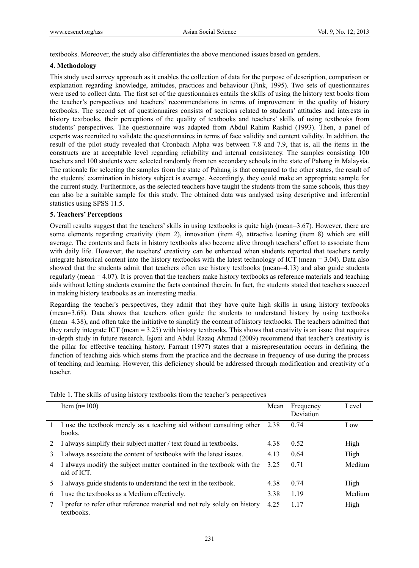textbooks. Moreover, the study also differentiates the above mentioned issues based on genders.

## **4. Methodology**

This study used survey approach as it enables the collection of data for the purpose of description, comparison or explanation regarding knowledge, attitudes, practices and behaviour (Fink, 1995). Two sets of questionnaires were used to collect data. The first set of the questionnaires entails the skills of using the history text books from the teacher's perspectives and teachers' recommendations in terms of improvement in the quality of history textbooks. The second set of questionnaires consists of sections related to students' attitudes and interests in history textbooks, their perceptions of the quality of textbooks and teachers' skills of using textbooks from students' perspectives. The questionnaire was adapted from Abdul Rahim Rashid (1993). Then, a panel of experts was recruited to validate the questionnaires in terms of face validity and content validity. In addition, the result of the pilot study revealed that Cronbach Alpha was between 7.8 and 7.9, that is, all the items in the constructs are at acceptable level regarding reliability and internal consistency. The samples consisting 100 teachers and 100 students were selected randomly from ten secondary schools in the state of Pahang in Malaysia. The rationale for selecting the samples from the state of Pahang is that compared to the other states, the result of the students' examination in history subject is average. Accordingly, they could make an appropriate sample for the current study. Furthermore, as the selected teachers have taught the students from the same schools, thus they can also be a suitable sample for this study. The obtained data was analysed using descriptive and inferential statistics using SPSS 11.5.

## **5. Teachers' Perceptions**

Overall results suggest that the teachers' skills in using textbooks is quite high (mean=3.67). However, there are some elements regarding creativity (item 2), innovation (item 4), attractive leaning (item 8) which are still average. The contents and facts in history textbooks also become alive through teachers' effort to associate them with daily life. However, the teachers' creativity can be enhanced when students reported that teachers rarely integrate historical content into the history textbooks with the latest technology of ICT (mean = 3.04). Data also showed that the students admit that teachers often use history textbooks (mean=4.13) and also guide students regularly (mean = 4.07). It is proven that the teachers make history textbooks as reference materials and teaching aids without letting students examine the facts contained therein. In fact, the students stated that teachers succeed in making history textbooks as an interesting media.

Regarding the teacher's perspectives, they admit that they have quite high skills in using history textbooks (mean=3.68). Data shows that teachers often guide the students to understand history by using textbooks (mean=4.38), and often take the initiative to simplify the content of history textbooks. The teachers admitted that they rarely integrate ICT (mean = 3.25) with history textbooks. This shows that creativity is an issue that requires in-depth study in future research. Isjoni and Abdul Razaq Ahmad (2009) recommend that teacher's creativity is the pillar for effective teaching history. Farrant (1977) states that a misrepresentation occurs in defining the function of teaching aids which stems from the practice and the decrease in frequency of use during the process of teaching and learning. However, this deficiency should be addressed through modification and creativity of a teacher.

|              | Item $(n=100)$                                                                          | Mean | Frequency<br>Deviation | Level  |
|--------------|-----------------------------------------------------------------------------------------|------|------------------------|--------|
| $\mathbf{1}$ | I use the textbook merely as a teaching aid without consulting other<br>books.          | 2.38 | 0.74                   | Low    |
| 2            | I always simplify their subject matter / text found in textbooks.                       | 4.38 | 0.52                   | High   |
| 3            | I always associate the content of textbooks with the latest issues.                     | 4.13 | 0.64                   | High   |
| 4            | I always modify the subject matter contained in the textbook with the<br>aid of ICT.    | 3.25 | 0.71                   | Medium |
| 5            | I always guide students to understand the text in the textbook.                         | 4.38 | 0.74                   | High   |
| 6            | I use the textbooks as a Medium effectively.                                            | 3.38 | 1.19                   | Medium |
|              | I prefer to refer other reference material and not rely solely on history<br>textbooks. | 4.25 | 1.17                   | High   |

Table 1. The skills of using history textbooks from the teacher's perspectives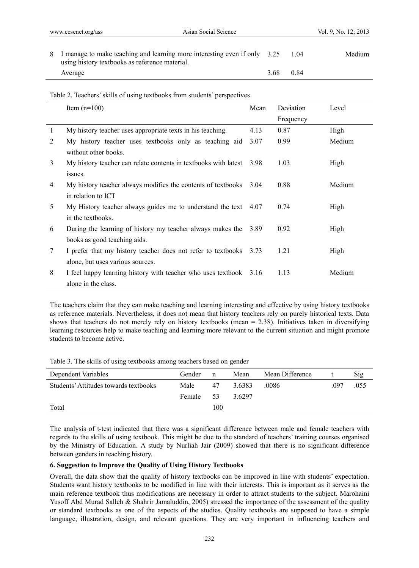| 8 I manage to make teaching and learning more interesting even if only 3.25<br>using history textbooks as reference material. |      | 104  | Medium |
|-------------------------------------------------------------------------------------------------------------------------------|------|------|--------|
| Average                                                                                                                       | 3.68 | 0.84 |        |

Table 2. Teachers' skills of using textbooks from students' perspectives

|        | Item $(n=100)$                                                    | Mean | Deviation | Level  |
|--------|-------------------------------------------------------------------|------|-----------|--------|
|        |                                                                   |      | Frequency |        |
| -1     | My history teacher uses appropriate texts in his teaching.        | 4.13 | 0.87      | High   |
| 2      | My history teacher uses textbooks only as teaching aid            | 3.07 | 0.99      | Medium |
|        | without other books.                                              |      |           |        |
| 3      | My history teacher can relate contents in textbooks with latest   | 3.98 | 1.03      | High   |
|        | issues.                                                           |      |           |        |
| 4      | My history teacher always modifies the contents of textbooks      | 3.04 | 0.88      | Medium |
|        | in relation to ICT                                                |      |           |        |
| 5      | My History teacher always guides me to understand the text 4.07   |      | 0.74      | High   |
|        | in the textbooks.                                                 |      |           |        |
| 6      | During the learning of history my teacher always makes the        | 3.89 | 0.92      | High   |
|        | books as good teaching aids.                                      |      |           |        |
| $\tau$ | I prefer that my history teacher does not refer to textbooks      | 3.73 | 1.21      | High   |
|        | alone, but uses various sources.                                  |      |           |        |
| 8      | I feel happy learning history with teacher who uses textbook 3.16 |      | 1.13      | Medium |
|        | alone in the class.                                               |      |           |        |

The teachers claim that they can make teaching and learning interesting and effective by using history textbooks as reference materials. Nevertheless, it does not mean that history teachers rely on purely historical texts. Data shows that teachers do not merely rely on history textbooks (mean = 2.38). Initiatives taken in diversifying learning resources help to make teaching and learning more relevant to the current situation and might promote students to become active.

Table 3. The skills of using textbooks among teachers based on gender

| Dependent Variables                   | Gender | n   | Mean   | Mean Difference |      | Sig  |
|---------------------------------------|--------|-----|--------|-----------------|------|------|
| Students' Attitudes towards textbooks | Male   | 47  | 3.6383 | .0086           | .097 | .055 |
|                                       | Female | 53  | 36297  |                 |      |      |
| Total                                 |        | 100 |        |                 |      |      |

The analysis of t-test indicated that there was a significant difference between male and female teachers with regards to the skills of using textbook. This might be due to the standard of teachers' training courses organised by the Ministry of Education. A study by Nurliah Jair (2009) showed that there is no significant difference between genders in teaching history.

#### **6. Suggestion to Improve the Quality of Using History Textbooks**

Overall, the data show that the quality of history textbooks can be improved in line with students' expectation. Students want history textbooks to be modified in line with their interests. This is important as it serves as the main reference textbook thus modifications are necessary in order to attract students to the subject. Marohaini Yusoff Abd Murad Salleh & Shahrir Jamaluddin, 2005) stressed the importance of the assessment of the quality or standard textbooks as one of the aspects of the studies. Quality textbooks are supposed to have a simple language, illustration, design, and relevant questions. They are very important in influencing teachers and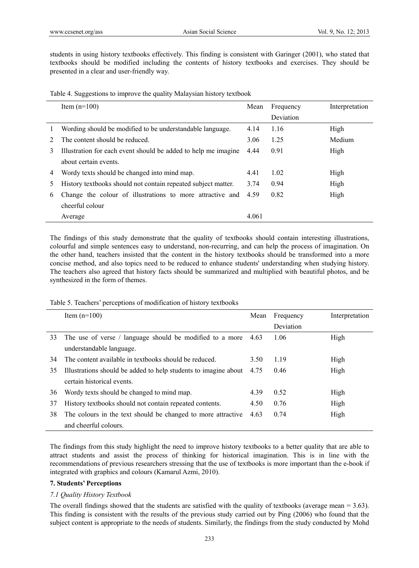students in using history textbooks effectively. This finding is consistent with Garinger (2001), who stated that textbooks should be modified including the contents of history textbooks and exercises. They should be presented in a clear and user-friendly way.

Table 4. Suggestions to improve the quality Malaysian history textbook

|   | Item $(n=100)$                                                 | Mean  | Frequency | Interpretation |
|---|----------------------------------------------------------------|-------|-----------|----------------|
|   |                                                                |       | Deviation |                |
|   | Wording should be modified to be understandable language.      | 4.14  | 1.16      | High           |
|   | The content should be reduced.                                 | 3.06  | 1.25      | Medium         |
| 3 | Illustration for each event should be added to help me imagine | 4.44  | 0.91      | High           |
|   | about certain events                                           |       |           |                |
| 4 | Wordy texts should be changed into mind map.                   | 4.41  | 1.02      | High           |
| 5 | History textbooks should not contain repeated subject matter.  | 3.74  | 0.94      | High           |
| 6 | Change the colour of illustrations to more attractive and      | 4.59  | 0.82      | High           |
|   | cheerful colour                                                |       |           |                |
|   | Average                                                        | 4.061 |           |                |

The findings of this study demonstrate that the quality of textbooks should contain interesting illustrations, colourful and simple sentences easy to understand, non-recurring, and can help the process of imagination. On the other hand, teachers insisted that the content in the history textbooks should be transformed into a more concise method, and also topics need to be reduced to enhance students' understanding when studying history. The teachers also agreed that history facts should be summarized and multiplied with beautiful photos, and be synthesized in the form of themes.

#### Table 5. Teachers' perceptions of modification of history textbooks

|    | Item $(n=100)$                                                  | Mean | Frequency        | Interpretation |
|----|-----------------------------------------------------------------|------|------------------|----------------|
|    |                                                                 |      | <b>Deviation</b> |                |
| 33 | The use of verse / language should be modified to a more        | 4.63 | 1.06             | High           |
|    | understandable language.                                        |      |                  |                |
| 34 | The content available in textbooks should be reduced.           | 3.50 | 1.19             | High           |
| 35 | Illustrations should be added to help students to imagine about | 4.75 | 0.46             | High           |
|    | certain historical events                                       |      |                  |                |
| 36 | Wordy texts should be changed to mind map.                      | 4.39 | 0.52             | High           |
| 37 | History textbooks should not contain repeated contents.         | 4.50 | 0.76             | High           |
| 38 | The colours in the text should be changed to more attractive    | 4.63 | 0.74             | High           |
|    | and cheerful colours.                                           |      |                  |                |

The findings from this study highlight the need to improve history textbooks to a better quality that are able to attract students and assist the process of thinking for historical imagination. This is in line with the recommendations of previous researchers stressing that the use of textbooks is more important than the e-book if integrated with graphics and colours (Kamarul Azmi, 2010).

#### **7. Students' Perceptions**

#### *7.1 Quality History Textbook*

The overall findings showed that the students are satisfied with the quality of textbooks (average mean = 3.63). This finding is consistent with the results of the previous study carried out by Ping (2006) who found that the subject content is appropriate to the needs of students. Similarly, the findings from the study conducted by Mohd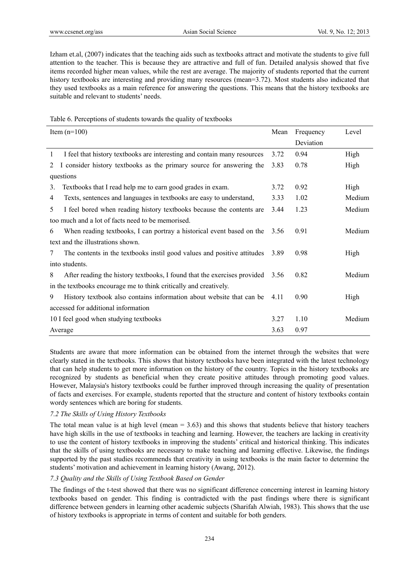Izham et.al, (2007) indicates that the teaching aids such as textbooks attract and motivate the students to give full attention to the teacher. This is because they are attractive and full of fun. Detailed analysis showed that five items recorded higher mean values, while the rest are average. The majority of students reported that the current history textbooks are interesting and providing many resources (mean=3.72). Most students also indicated that they used textbooks as a main reference for answering the questions. This means that the history textbooks are suitable and relevant to students' needs.

Table 6. Perceptions of students towards the quality of textbooks

| Item $(n=100)$<br>Mean                                                         |      | Frequency | Level  |  |
|--------------------------------------------------------------------------------|------|-----------|--------|--|
|                                                                                |      | Deviation |        |  |
| I feel that history textbooks are interesting and contain many resources<br>-1 | 3.72 | 0.94      | High   |  |
| I consider history textbooks as the primary source for answering the<br>2      | 3.83 | 0.78      | High   |  |
| questions                                                                      |      |           |        |  |
| Textbooks that I read help me to earn good grades in exam.<br>3.               | 3.72 | 0.92      | High   |  |
| Texts, sentences and languages in textbooks are easy to understand,<br>4       | 3.33 | 1.02      | Medium |  |
| I feel bored when reading history textbooks because the contents are<br>5      | 3.44 | 1.23      | Medium |  |
| too much and a lot of facts need to be memorised.                              |      |           |        |  |
| When reading textbooks, I can portray a historical event based on the<br>6     | 3.56 | 0.91      | Medium |  |
| text and the illustrations shown.                                              |      |           |        |  |
| The contents in the textbooks instil good values and positive attitudes<br>7   | 3.89 | 0.98      | High   |  |
| into students.                                                                 |      |           |        |  |
| 8<br>After reading the history textbooks, I found that the exercises provided  | 3.56 | 0.82      | Medium |  |
| in the textbooks encourage me to think critically and creatively.              |      |           |        |  |
| History textbook also contains information about website that can be<br>9      | 4.11 | 0.90      | High   |  |
| accessed for additional information                                            |      |           |        |  |
| 10 I feel good when studying textbooks                                         |      | 1.10      | Medium |  |
| Average                                                                        | 3.63 | 0.97      |        |  |

Students are aware that more information can be obtained from the internet through the websites that were clearly stated in the textbooks. This shows that history textbooks have been integrated with the latest technology that can help students to get more information on the history of the country. Topics in the history textbooks are recognized by students as beneficial when they create positive attitudes through promoting good values. However, Malaysia's history textbooks could be further improved through increasing the quality of presentation of facts and exercises. For example, students reported that the structure and content of history textbooks contain wordy sentences which are boring for students.

#### *7.2 The Skills of Using History Textbooks*

The total mean value is at high level (mean  $= 3.63$ ) and this shows that students believe that history teachers have high skills in the use of textbooks in teaching and learning. However, the teachers are lacking in creativity to use the content of history textbooks in improving the students' critical and historical thinking. This indicates that the skills of using textbooks are necessary to make teaching and learning effective. Likewise, the findings supported by the past studies recommends that creativity in using textbooks is the main factor to determine the students' motivation and achievement in learning history (Awang, 2012).

# *7.3 Quality and the Skills of Using Textbook Based on Gender*

The findings of the t-test showed that there was no significant difference concerning interest in learning history textbooks based on gender. This finding is contradicted with the past findings where there is significant difference between genders in learning other academic subjects (Sharifah Alwiah, 1983). This shows that the use of history textbooks is appropriate in terms of content and suitable for both genders.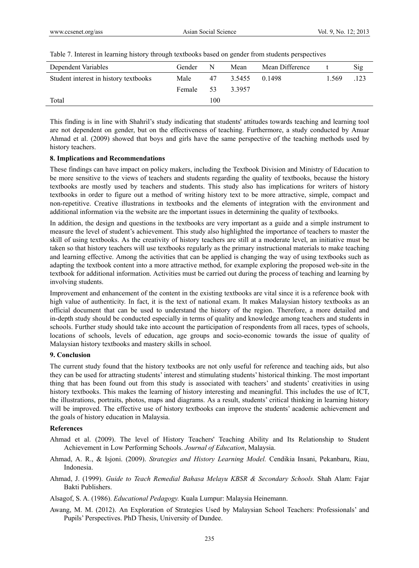| Dependent Variables                   | Gender | N   | Mean   | Mean Difference |       | Sig  |
|---------------------------------------|--------|-----|--------|-----------------|-------|------|
| Student interest in history textbooks | Male   | 47  | 3.5455 | 0.1498          | 1.569 | .123 |
|                                       | Female | 53  | 3.3957 |                 |       |      |
| Total                                 |        | 100 |        |                 |       |      |

Table 7. Interest in learning history through textbooks based on gender from students perspectives

This finding is in line with Shahril's study indicating that students' attitudes towards teaching and learning tool are not dependent on gender, but on the effectiveness of teaching. Furthermore, a study conducted by Anuar Ahmad et al. (2009) showed that boys and girls have the same perspective of the teaching methods used by history teachers.

#### **8. Implications and Recommendations**

These findings can have impact on policy makers, including the Textbook Division and Ministry of Education to be more sensitive to the views of teachers and students regarding the quality of textbooks, because the history textbooks are mostly used by teachers and students. This study also has implications for writers of history textbooks in order to figure out a method of writing history text to be more attractive, simple, compact and non-repetitive. Creative illustrations in textbooks and the elements of integration with the environment and additional information via the website are the important issues in determining the quality of textbooks.

In addition, the design and questions in the textbooks are very important as a guide and a simple instrument to measure the level of student's achievement. This study also highlighted the importance of teachers to master the skill of using textbooks. As the creativity of history teachers are still at a moderate level, an initiative must be taken so that history teachers will use textbooks regularly as the primary instructional materials to make teaching and learning effective. Among the activities that can be applied is changing the way of using textbooks such as adapting the textbook content into a more attractive method, for example exploring the proposed web-site in the textbook for additional information. Activities must be carried out during the process of teaching and learning by involving students.

Improvement and enhancement of the content in the existing textbooks are vital since it is a reference book with high value of authenticity. In fact, it is the text of national exam. It makes Malaysian history textbooks as an official document that can be used to understand the history of the region. Therefore, a more detailed and in-depth study should be conducted especially in terms of quality and knowledge among teachers and students in schools. Further study should take into account the participation of respondents from all races, types of schools, locations of schools, levels of education, age groups and socio-economic towards the issue of quality of Malaysian history textbooks and mastery skills in school.

#### **9. Conclusion**

The current study found that the history textbooks are not only useful for reference and teaching aids, but also they can be used for attracting students' interest and stimulating students' historical thinking. The most important thing that has been found out from this study is associated with teachers' and students' creativities in using history textbooks. This makes the learning of history interesting and meaningful. This includes the use of ICT, the illustrations, portraits, photos, maps and diagrams. As a result, students' critical thinking in learning history will be improved. The effective use of history textbooks can improve the students' academic achievement and the goals of history education in Malaysia.

#### **References**

Ahmad et al. (2009). The level of History Teachers' Teaching Ability and Its Relationship to Student Achievement in Low Performing Schools. *Journal of Education*, Malaysia.

- Ahmad, A. R., & Isjoni. (2009). *Strategies and History Learning Model.* Cendikia Insani, Pekanbaru, Riau, Indonesia.
- Ahmad, J. (1999). *Guide to Teach Remedial Bahasa Melayu KBSR & Secondary Schools.* Shah Alam: Fajar Bakti Publishers.

Alsagof, S. A. (1986). *Educational Pedagogy.* Kuala Lumpur: Malaysia Heinemann.

Awang, M. M. (2012). An Exploration of Strategies Used by Malaysian School Teachers: Professionals' and Pupils' Perspectives. PhD Thesis, University of Dundee.